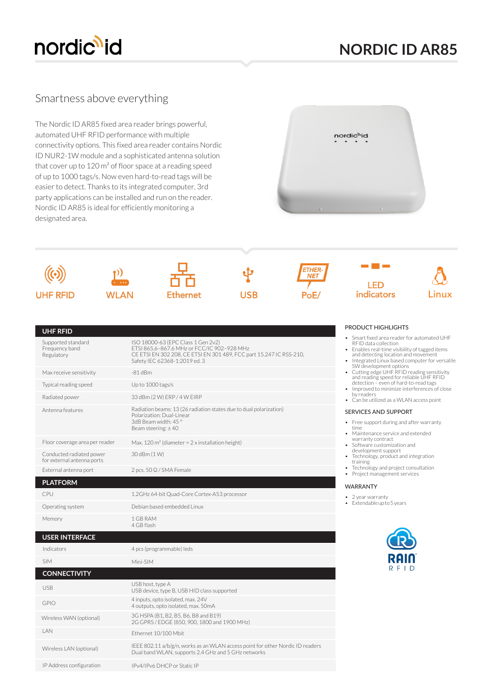

# **NORDIC ID AR85**

## Smartness above everything

The Nordic ID AR85 fixed area reader brings powerful, automated UHF RFID performance with multiple connectivity options. This fixed area reader contains Nordic ID NUR2-1W module and a sophisticated antenna solution that cover up to 120 m² of floor space at a reading speed of up to 1000 tags/s. Now even hard-to-read tags will be easier to detect. Thanks to its integrated computer, 3rd party applications can be installed and run on the reader. Nordic ID AR85 is ideal for efficiently monitoring a designated area.





### **UHF RFID**

| Supported standard<br>Frequency band<br>Regulatory     | ISO 18000-63 (EPC Class 1 Gen 2v2)<br>ETSI 865.6-867.6 MHz or FCC/IC 902-928 MHz<br>CE ETSI EN 302 208, CE ETSI EN 301 489, FCC part 15.247 IC RSS-210,<br>Safety IEC 62368-1:2019 ed. 3 |
|--------------------------------------------------------|------------------------------------------------------------------------------------------------------------------------------------------------------------------------------------------|
| Max receive sensitivity                                | $-81$ dBm                                                                                                                                                                                |
| Typical reading speed                                  | Up to 1000 tags/s                                                                                                                                                                        |
| Radiated power                                         | 33 dBm (2 W) ERP / 4 W EIRP                                                                                                                                                              |
| Antenna features                                       | Radiation beams: 13 (26 radiation states due to dual polarization)<br>Polarization: Dual-Linear<br>3dB Beam width: 45°<br>Beam steering: $\pm$ 40                                        |
| Floor coverage area per reader                         | Max. 120 m <sup>2</sup> (diameter = $2 \times$ installation height)                                                                                                                      |
| Conducted radiated power<br>for external antenna ports | 30 dBm (1 W)                                                                                                                                                                             |
| External antenna port                                  | 2 pcs. 50 Q / SMA Female                                                                                                                                                                 |
| <b>PLATFORM</b>                                        |                                                                                                                                                                                          |
| CPU                                                    | 1.2GHz 64-bit Quad-Core Cortex-A53 processor                                                                                                                                             |
| Operating system                                       | Debian based embedded Linux                                                                                                                                                              |
| Memory                                                 | 1 GB RAM<br>4 GB flash                                                                                                                                                                   |
| <b>USER INTERFACE</b>                                  |                                                                                                                                                                                          |
| Indicators                                             | 4 pcs (programmable) leds                                                                                                                                                                |
| <b>SIM</b>                                             | Mini-SIM                                                                                                                                                                                 |
| <b>CONNECTIVITY</b>                                    |                                                                                                                                                                                          |
| <b>USB</b>                                             | USB host, type A<br>USB device, type B, USB HID class supported                                                                                                                          |
| <b>GPIO</b>                                            | 4 inputs, opto isolated, max. 24V<br>4 outputs, opto isolated, max. 50mA                                                                                                                 |
| Wireless WAN (optional)                                | 3G HSPA (B1, B2, B5, B6, B8 and B19)<br>2G GPRS / EDGE (850, 900, 1800 and 1900 MHz)                                                                                                     |
| <b>IAN</b>                                             | Ethernet 10/100 Mbit                                                                                                                                                                     |
| Wireless LAN (optional)                                | IEEE 802.11 a/b/g/n, works as an WLAN access point for other Nordic ID readers<br>Dual band WLAN, supports 2.4 GHz and 5 GHz networks                                                    |
| IP Address configuration                               | IPv4/IPv6 DHCP or Static IP                                                                                                                                                              |

### PRODUCT HIGHLIGHTS

- Smart fixed area reader for automated UHF RFID data collection
- Enables real-time visibility of tagged items and detecting location and movement Integrated Linux based computer for versatile
- 
- SW development options Cutting edge UHF RFID reading sensitivity and reading speed for reliable UHF RFID detection even of hard-to-read tags • Improved to minimize interferences of close
- by readers • Can be utilized as a WLAN access point

#### SERVICES AND SUPPORT

- Free support during and after warranty
- time • Maintenance service and extended
- warranty contract Software customization and development support
- Technology, product and integration training
- Technology and project consultation
- Project management services

#### WARRANTY

- 2 year warranty
- Extendable up to 5 years